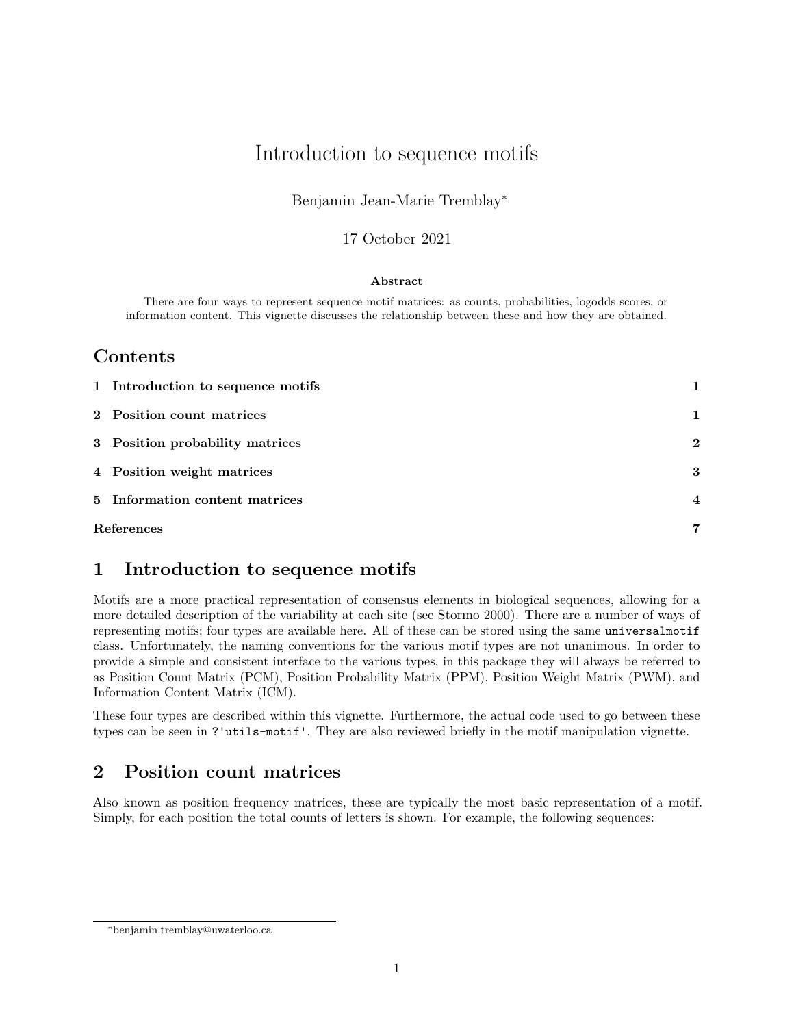# Introduction to sequence motifs

### Benjamin Jean-Marie Tremblay<sup>∗</sup>

#### 17 October 2021

#### **Abstract**

There are four ways to represent sequence motif matrices: as counts, probabilities, logodds scores, or information content. This vignette discusses the relationship between these and how they are obtained.

## **Contents**

| 1 Introduction to sequence motifs |                  |
|-----------------------------------|------------------|
| 2 Position count matrices         | 1                |
| 3 Position probability matrices   | $\mathbf{2}$     |
| 4 Position weight matrices        | 3                |
| 5 Information content matrices    | $\boldsymbol{4}$ |
| References                        | 7                |

# <span id="page-0-0"></span>**1 Introduction to sequence motifs**

Motifs are a more practical representation of consensus elements in biological sequences, allowing for a more detailed description of the variability at each site (see Stormo 2000). There are a number of ways of representing motifs; four types are available here. All of these can be stored using the same universalmotif class. Unfortunately, the naming conventions for the various motif types are not unanimous. In order to provide a simple and consistent interface to the various types, in this package they will always be referred to as Position Count Matrix (PCM), Position Probability Matrix (PPM), Position Weight Matrix (PWM), and Information Content Matrix (ICM).

These four types are described within this vignette. Furthermore, the actual code used to go between these types can be seen in ?'utils-motif'. They are also reviewed briefly in the motif manipulation vignette.

# <span id="page-0-1"></span>**2 Position count matrices**

Also known as position frequency matrices, these are typically the most basic representation of a motif. Simply, for each position the total counts of letters is shown. For example, the following sequences:

<sup>∗</sup>[benjamin.tremblay@uwaterloo.ca](mailto:benjamin.tremblay@uwaterloo.ca)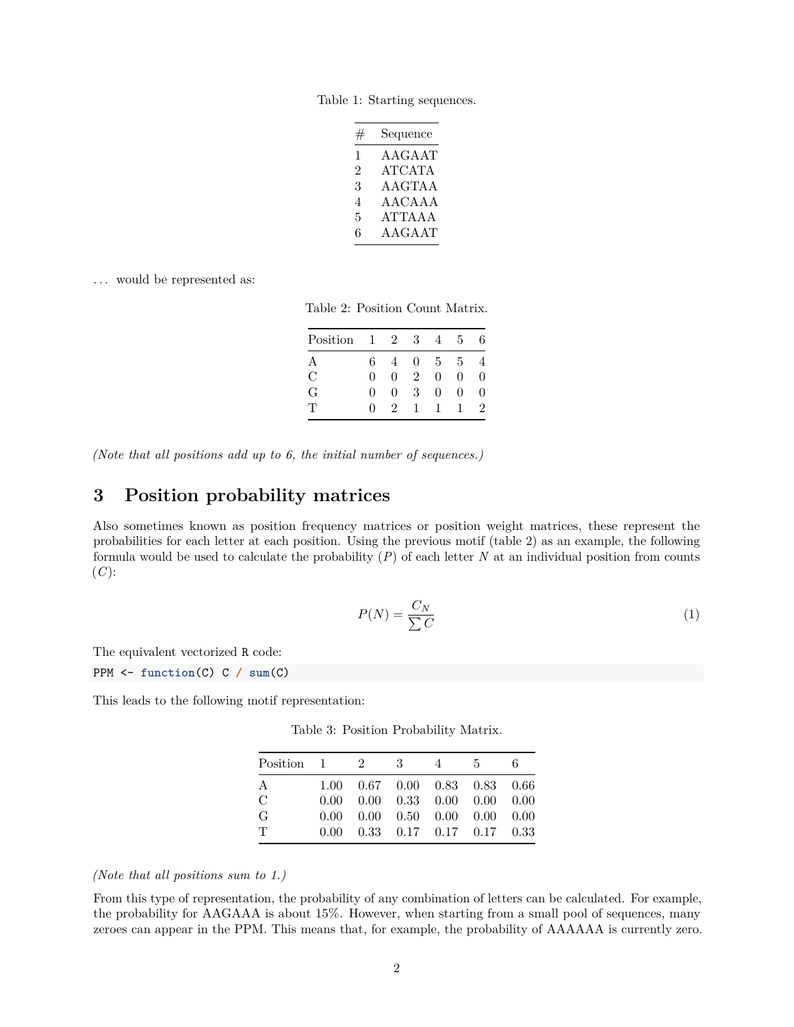Table 1: Starting sequences.

| # | Sequence      |
|---|---------------|
| 1 | AAGAAT        |
| 2 | <b>ATCATA</b> |
| 3 | <b>AAGTAA</b> |
| 4 | AACAAA        |
| 5 | ATTA A A      |
| 6 | AAGAAT        |

<span id="page-1-1"></span>... would be represented as:

Table 2: Position Count Matrix.

| Position      | -1         | 2 | 3              | 4              | 5        | 6 |
|---------------|------------|---|----------------|----------------|----------|---|
| А             | 6          |   | $\mathbf{0}$   | $\overline{5}$ | 5        |   |
| $\mathcal{C}$ | $\Omega$   | 0 | $\mathfrak{D}$ | 0              | $\Omega$ | O |
| G             | $\Omega$   | 0 | 3              | 0              | $\Omega$ | O |
| Ͳ             | $^{\circ}$ | 9 |                |                |          | 2 |

*(Note that all positions add up to 6, the initial number of sequences.)*

## <span id="page-1-0"></span>**3 Position probability matrices**

Also sometimes known as position frequency matrices or position weight matrices, these represent the probabilities for each letter at each position. Using the previous motif (table [2\)](#page-1-1) as an example, the following formula would be used to calculate the probability (*P*) of each letter *N* at an individual position from counts  $(C)$ :

$$
P(N) = \frac{C_N}{\sum C} \tag{1}
$$

The equivalent vectorized R code:

PPM <- **function**(C) C **/ sum**(C)

<span id="page-1-2"></span>This leads to the following motif representation:

Table 3: Position Probability Matrix.

| Position $1 \t 2 \t 3$ |                                                               | 4 | $-5$ | 6. |
|------------------------|---------------------------------------------------------------|---|------|----|
| A                      | 1.00  0.67  0.00  0.83  0.83  0.66                            |   |      |    |
| C                      | $0.00 \quad 0.00 \quad 0.33 \quad 0.00 \quad 0.00 \quad 0.00$ |   |      |    |
| G                      | $0.00 \quad 0.00 \quad 0.50 \quad 0.00 \quad 0.00 \quad 0.00$ |   |      |    |
| $\mathbf{T}$           | $0.00 \quad 0.33 \quad 0.17 \quad 0.17 \quad 0.17 \quad 0.33$ |   |      |    |
|                        |                                                               |   |      |    |

#### *(Note that all positions sum to 1.)*

From this type of representation, the probability of any combination of letters can be calculated. For example, the probability for AAGAAA is about 15%. However, when starting from a small pool of sequences, many zeroes can appear in the PPM. This means that, for example, the probability of AAAAAA is currently zero.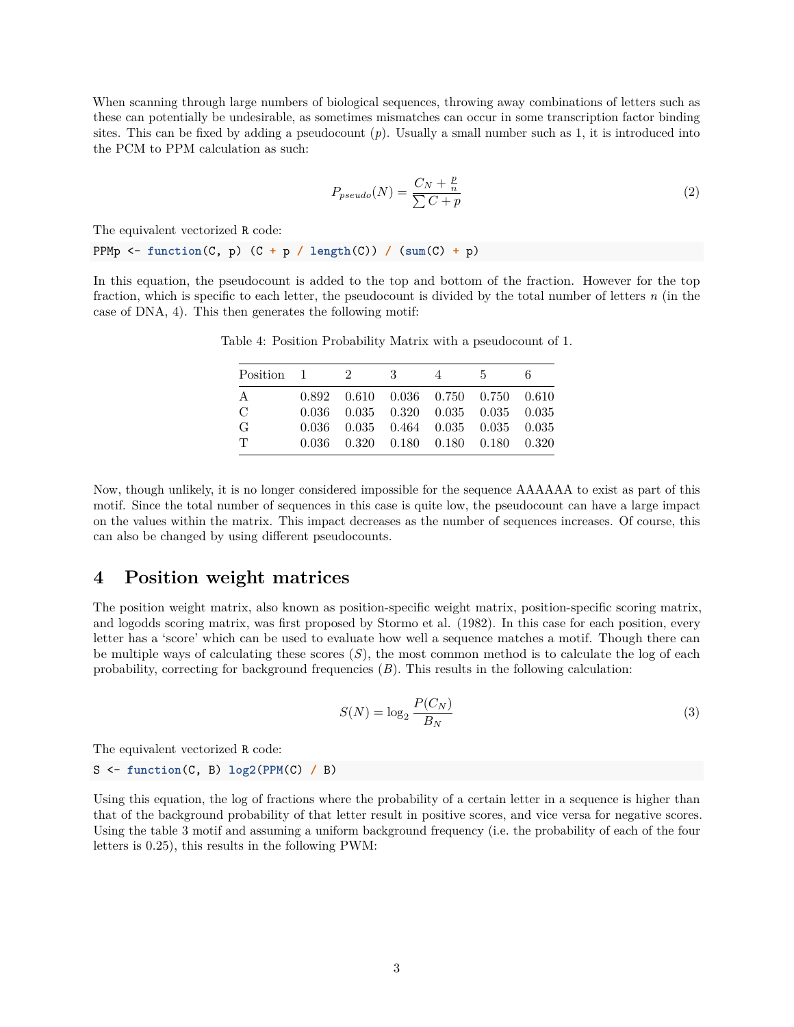When scanning through large numbers of biological sequences, throwing away combinations of letters such as these can potentially be undesirable, as sometimes mismatches can occur in some transcription factor binding sites. This can be fixed by adding a pseudocount (*p*). Usually a small number such as 1, it is introduced into the PCM to PPM calculation as such:

$$
P_{pseudo}(N) = \frac{C_N + \frac{p}{n}}{\sum C + p}
$$
\n<sup>(2)</sup>

The equivalent vectorized R code:

PPMp <- **function**(C, p) (C **+** p **/ length**(C)) **/** (**sum**(C) **+** p)

<span id="page-2-1"></span>In this equation, the pseudocount is added to the top and bottom of the fraction. However for the top fraction, which is specific to each letter, the pseudocount is divided by the total number of letters *n* (in the case of DNA, 4). This then generates the following motif:

| $Position \quad 1 \quad 2$ |  | $\overline{\phantom{a}3}$ | 4 | -5 -                                            | 6. |
|----------------------------|--|---------------------------|---|-------------------------------------------------|----|
| A                          |  |                           |   | $0.892$ $0.610$ $0.036$ $0.750$ $0.750$ $0.610$ |    |
| $\mathcal{C}$              |  |                           |   | $0.036$ $0.035$ $0.320$ $0.035$ $0.035$ $0.035$ |    |
| G                          |  |                           |   | $0.036$ $0.035$ $0.464$ $0.035$ $0.035$ $0.035$ |    |
| T                          |  |                           |   | 0.036 0.320 0.180 0.180 0.180 0.320             |    |

Table 4: Position Probability Matrix with a pseudocount of 1.

Now, though unlikely, it is no longer considered impossible for the sequence AAAAAA to exist as part of this motif. Since the total number of sequences in this case is quite low, the pseudocount can have a large impact on the values within the matrix. This impact decreases as the number of sequences increases. Of course, this can also be changed by using different pseudocounts.

#### <span id="page-2-0"></span>**4 Position weight matrices**

The position weight matrix, also known as position-specific weight matrix, position-specific scoring matrix, and logodds scoring matrix, was first proposed by Stormo et al. (1982). In this case for each position, every letter has a 'score' which can be used to evaluate how well a sequence matches a motif. Though there can be multiple ways of calculating these scores  $(S)$ , the most common method is to calculate the log of each probability, correcting for background frequencies (*B*). This results in the following calculation:

$$
S(N) = \log_2 \frac{P(C_N)}{B_N} \tag{3}
$$

The equivalent vectorized R code:

S <- **function**(C, B) **log2**(**PPM**(C) **/** B)

Using this equation, the log of fractions where the probability of a certain letter in a sequence is higher than that of the background probability of that letter result in positive scores, and vice versa for negative scores. Using the table [3](#page-1-2) motif and assuming a uniform background frequency (i.e. the probability of each of the four letters is 0.25), this results in the following PWM: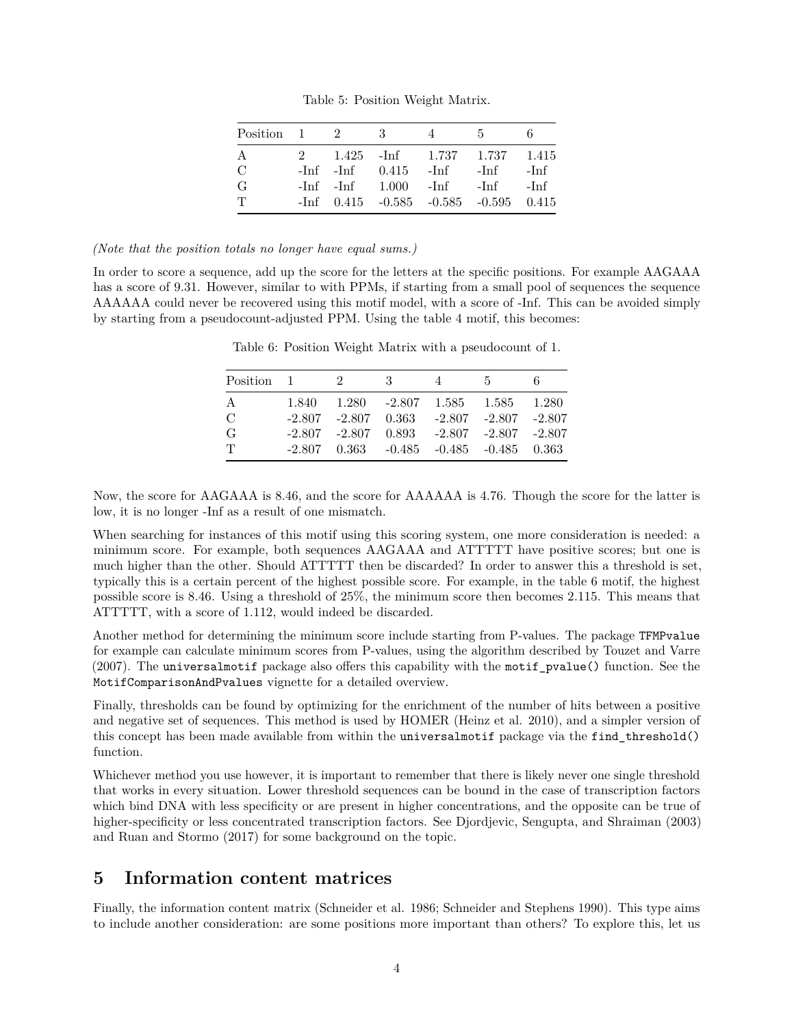Table 5: Position Weight Matrix.

| Position 1 2  |  | - 3                                 | 4 | - 5 -                                         |        |
|---------------|--|-------------------------------------|---|-----------------------------------------------|--------|
| A             |  |                                     |   | 2 1.425 - Inf 1.737 1.737 1.415               |        |
| $\mathcal{C}$ |  | $-Inf$ $-Inf$ $0.415$ $-Inf$ $-Inf$ |   |                                               | -Inf   |
| G             |  | $-Inf$ $-Inf$ $1.000$ $-Inf$ $-Inf$ |   |                                               | $-Inf$ |
|               |  |                                     |   | $-Inf$ 0.415 $-0.585$ $-0.585$ $-0.595$ 0.415 |        |

#### *(Note that the position totals no longer have equal sums.)*

<span id="page-3-1"></span>In order to score a sequence, add up the score for the letters at the specific positions. For example AAGAAA has a score of 9.31. However, similar to with PPMs, if starting from a small pool of sequences the sequence AAAAAA could never be recovered using this motif model, with a score of -Inf. This can be avoided simply by starting from a pseudocount-adjusted PPM. Using the table [4](#page-2-1) motif, this becomes:

| Position $1 \t 2$ |  | $\overline{\phantom{a}3}$                            | $4\overline{)}$ | 5 <sub>5</sub> |  |
|-------------------|--|------------------------------------------------------|-----------------|----------------|--|
| А                 |  | $1.840$ $1.280$ $-2.807$ $1.585$ $1.585$ $1.280$     |                 |                |  |
| $\mathcal{C}$     |  | $-2.807$ $-2.807$ $0.363$ $-2.807$ $-2.807$ $-2.807$ |                 |                |  |
| G                 |  | $-2.807$ $-2.807$ $0.893$ $-2.807$ $-2.807$ $-2.807$ |                 |                |  |
| T                 |  | $-2.807$ $0.363$ $-0.485$ $-0.485$ $-0.485$ $0.363$  |                 |                |  |
|                   |  |                                                      |                 |                |  |

Table 6: Position Weight Matrix with a pseudocount of 1.

Now, the score for AAGAAA is 8.46, and the score for AAAAAA is 4.76. Though the score for the latter is low, it is no longer -Inf as a result of one mismatch.

When searching for instances of this motif using this scoring system, one more consideration is needed: a minimum score. For example, both sequences AAGAAA and ATTTTT have positive scores; but one is much higher than the other. Should ATTTTT then be discarded? In order to answer this a threshold is set, typically this is a certain percent of the highest possible score. For example, in the table [6](#page-3-1) motif, the highest possible score is 8.46. Using a threshold of 25%, the minimum score then becomes 2.115. This means that ATTTTT, with a score of 1.112, would indeed be discarded.

Another method for determining the minimum score include starting from P-values. The package TFMPvalue for example can calculate minimum scores from P-values, using the algorithm described by Touzet and Varre (2007). The universalmotif package also offers this capability with the motif\_pvalue() function. See the MotifComparisonAndPvalues vignette for a detailed overview.

Finally, thresholds can be found by optimizing for the enrichment of the number of hits between a positive and negative set of sequences. This method is used by HOMER (Heinz et al. 2010), and a simpler version of this concept has been made available from within the universalmotif package via the find\_threshold() function.

Whichever method you use however, it is important to remember that there is likely never one single threshold that works in every situation. Lower threshold sequences can be bound in the case of transcription factors which bind DNA with less specificity or are present in higher concentrations, and the opposite can be true of higher-specificity or less concentrated transcription factors. See Djordjevic, Sengupta, and Shraiman (2003) and Ruan and Stormo (2017) for some background on the topic.

### <span id="page-3-0"></span>**5 Information content matrices**

Finally, the information content matrix (Schneider et al. 1986; Schneider and Stephens 1990). This type aims to include another consideration: are some positions more important than others? To explore this, let us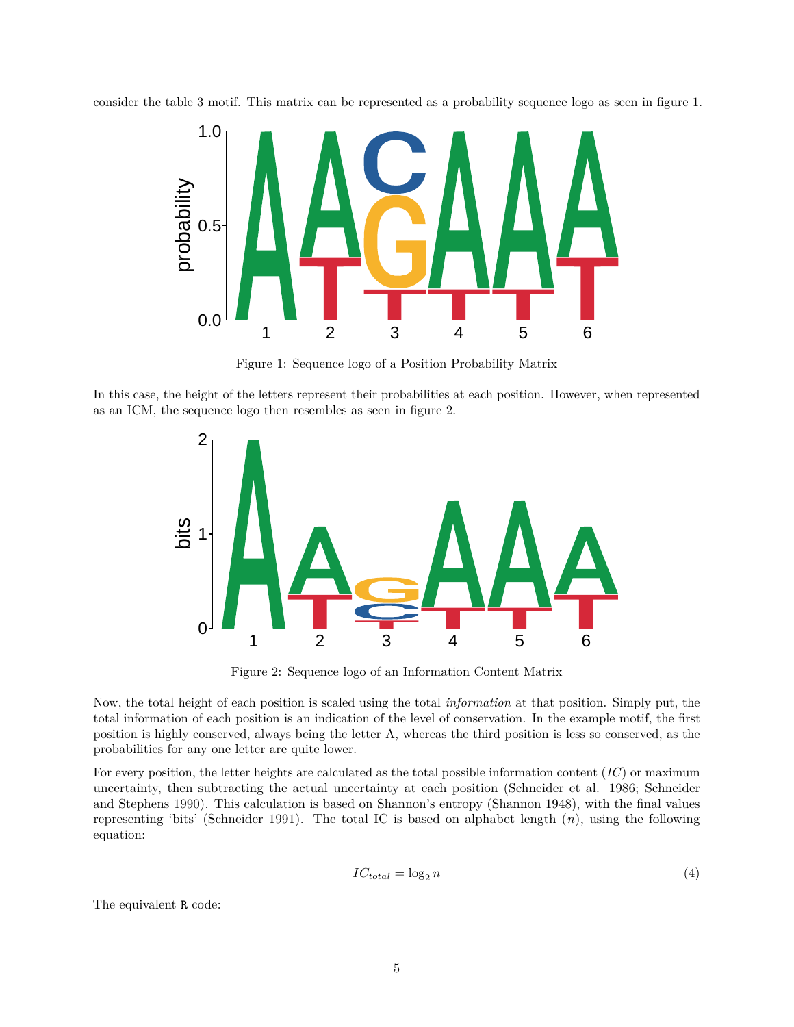consider the table [3](#page-1-2) motif. This matrix can be represented as a probability sequence logo as seen in figure [1.](#page-4-0)



<span id="page-4-0"></span>Figure 1: Sequence logo of a Position Probability Matrix

In this case, the height of the letters represent their probabilities at each position. However, when represented as an ICM, the sequence logo then resembles as seen in figure [2.](#page-4-1)



<span id="page-4-1"></span>Figure 2: Sequence logo of an Information Content Matrix

Now, the total height of each position is scaled using the total *information* at that position. Simply put, the total information of each position is an indication of the level of conservation. In the example motif, the first position is highly conserved, always being the letter A, whereas the third position is less so conserved, as the probabilities for any one letter are quite lower.

For every position, the letter heights are calculated as the total possible information content (*IC*) or maximum uncertainty, then subtracting the actual uncertainty at each position (Schneider et al. 1986; Schneider and Stephens 1990). This calculation is based on Shannon's entropy (Shannon 1948), with the final values representing 'bits' (Schneider 1991). The total IC is based on alphabet length (*n*), using the following equation:

$$
IC_{total} = \log_2 n \tag{4}
$$

The equivalent R code: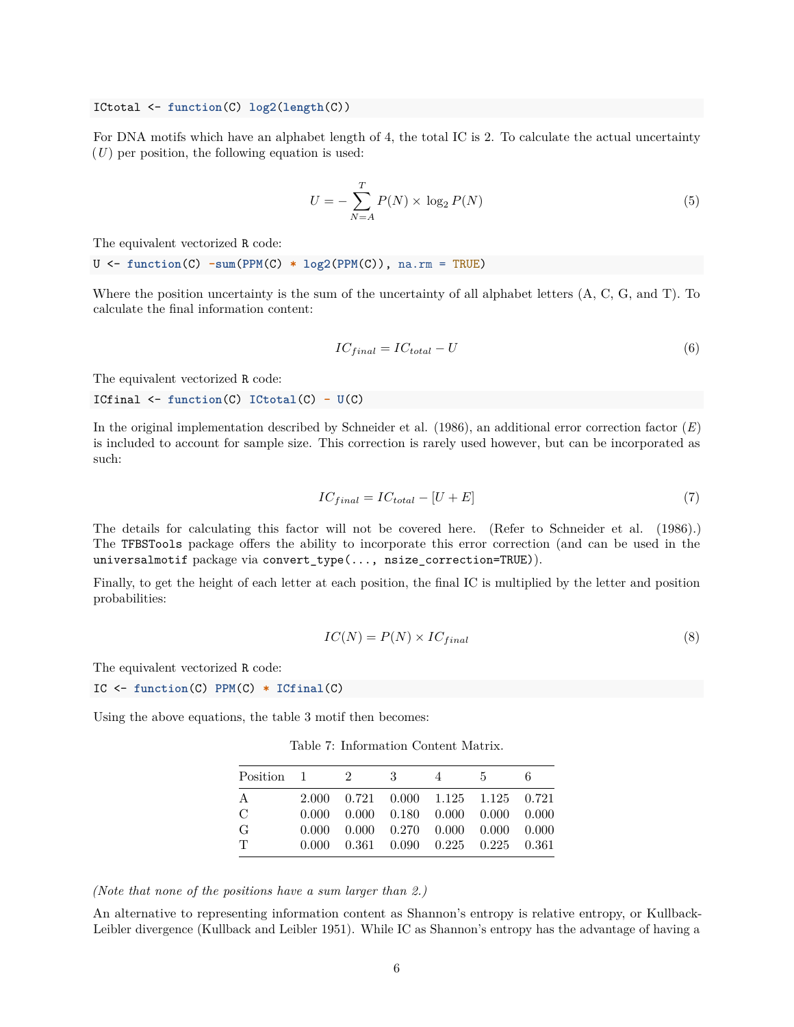ICtotal <- **function**(C) **log2**(**length**(C))

For DNA motifs which have an alphabet length of 4, the total IC is 2. To calculate the actual uncertainty (*U*) per position, the following equation is used:

$$
U = -\sum_{N=A}^{T} P(N) \times \log_2 P(N) \tag{5}
$$

The equivalent vectorized R code:

U <- **function**(C) **-sum**(**PPM**(C) **\* log2**(**PPM**(C)), na.rm = TRUE)

Where the position uncertainty is the sum of the uncertainty of all alphabet letters (A, C, G, and T). To calculate the final information content:

$$
IC_{final} = IC_{total} - U \tag{6}
$$

The equivalent vectorized R code:

$$
ICFinal \leftarrow function(C) ICtotal(C) - U(C)
$$

In the original implementation described by Schneider et al. (1986), an additional error correction factor (*E*) is included to account for sample size. This correction is rarely used however, but can be incorporated as such:

$$
IC_{final} = IC_{total} - [U + E] \tag{7}
$$

The details for calculating this factor will not be covered here. (Refer to Schneider et al. (1986).) The TFBSTools package offers the ability to incorporate this error correction (and can be used in the universalmotif package via convert\_type(..., nsize\_correction=TRUE)).

Finally, to get the height of each letter at each position, the final IC is multiplied by the letter and position probabilities:

$$
IC(N) = P(N) \times IC_{final} \tag{8}
$$

The equivalent vectorized R code:

IC <- **function**(C) **PPM**(C) **\* ICfinal**(C)

Using the above equations, the table [3](#page-1-2) motif then becomes:

Table 7: Information Content Matrix.

| Position 1    | 2 | -3-                                                                 | 4 | -5- | 6 |
|---------------|---|---------------------------------------------------------------------|---|-----|---|
| A             |   | 2.000 0.721 0.000 1.125 1.125 0.721                                 |   |     |   |
| $\mathcal{C}$ |   | $0.000 \quad 0.000 \quad 0.180 \quad 0.000 \quad 0.000 \quad 0.000$ |   |     |   |
| G             |   | $0.000 \quad 0.000 \quad 0.270 \quad 0.000 \quad 0.000 \quad 0.000$ |   |     |   |
| $\top$        |   | $0.000 \quad 0.361 \quad 0.090 \quad 0.225 \quad 0.225 \quad 0.361$ |   |     |   |

*(Note that none of the positions have a sum larger than 2.)*

An alternative to representing information content as Shannon's entropy is relative entropy, or Kullback-Leibler divergence (Kullback and Leibler 1951). While IC as Shannon's entropy has the advantage of having a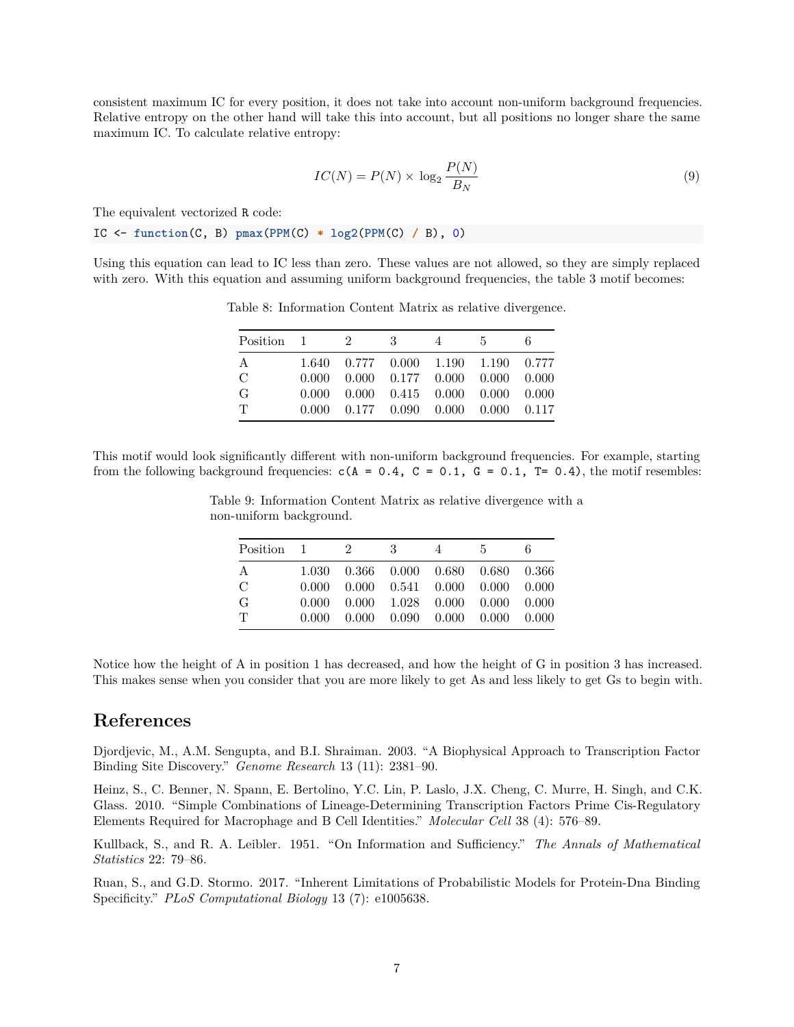consistent maximum IC for every position, it does not take into account non-uniform background frequencies. Relative entropy on the other hand will take this into account, but all positions no longer share the same maximum IC. To calculate relative entropy:

$$
IC(N) = P(N) \times \log_2 \frac{P(N)}{B_N}
$$
\n(9)

The equivalent vectorized R code:

IC <- **function**(C, B) **pmax**(**PPM**(C) **\* log2**(**PPM**(C) **/** B), 0)

Using this equation can lead to IC less than zero. These values are not allowed, so they are simply replaced with zero. With this equation and assuming uniform background frequencies, the table [3](#page-1-2) motif becomes:

| Position 1 2  |  | $\overline{\phantom{a}3}$ | 4 | 5 <sub>5</sub>                                                      | 6. |
|---------------|--|---------------------------|---|---------------------------------------------------------------------|----|
| A             |  |                           |   | 1.640 0.777 0.000 1.190 1.190 0.777                                 |    |
| $\mathcal{C}$ |  |                           |   | $0.000$ $0.000$ $0.177$ $0.000$ $0.000$ $0.000$                     |    |
| G             |  |                           |   | $0.000$ $0.000$ $0.415$ $0.000$ $0.000$ $0.000$                     |    |
| T             |  |                           |   | $0.000 \quad 0.177 \quad 0.090 \quad 0.000 \quad 0.000 \quad 0.117$ |    |

Table 8: Information Content Matrix as relative divergence.

This motif would look significantly different with non-uniform background frequencies. For example, starting from the following background frequencies:  $c(A = 0.4, C = 0.1, G = 0.1, T = 0.4)$ , the motif resembles:

| $Position \quad 1 \quad 2$ |  | $\overline{\phantom{a}3}$ | 4 | - 5                                             | 6. |
|----------------------------|--|---------------------------|---|-------------------------------------------------|----|
| А                          |  |                           |   | 1.030  0.366  0.000  0.680  0.680  0.366        |    |
| $\mathcal{C}$              |  |                           |   | $0.000$ $0.000$ $0.541$ $0.000$ $0.000$ $0.000$ |    |
| G                          |  |                           |   | $0.000$ $0.000$ $1.028$ $0.000$ $0.000$ $0.000$ |    |
| T                          |  |                           |   | $0.000$ $0.000$ $0.090$ $0.000$ $0.000$ $0.000$ |    |

Table 9: Information Content Matrix as relative divergence with a non-uniform background.

Notice how the height of A in position 1 has decreased, and how the height of G in position 3 has increased. This makes sense when you consider that you are more likely to get As and less likely to get Gs to begin with.

# <span id="page-6-0"></span>**References**

Djordjevic, M., A.M. Sengupta, and B.I. Shraiman. 2003. "A Biophysical Approach to Transcription Factor Binding Site Discovery." *Genome Research* 13 (11): 2381–90.

Heinz, S., C. Benner, N. Spann, E. Bertolino, Y.C. Lin, P. Laslo, J.X. Cheng, C. Murre, H. Singh, and C.K. Glass. 2010. "Simple Combinations of Lineage-Determining Transcription Factors Prime Cis-Regulatory Elements Required for Macrophage and B Cell Identities." *Molecular Cell* 38 (4): 576–89.

Kullback, S., and R. A. Leibler. 1951. "On Information and Sufficiency." *The Annals of Mathematical Statistics* 22: 79–86.

Ruan, S., and G.D. Stormo. 2017. "Inherent Limitations of Probabilistic Models for Protein-Dna Binding Specificity." *PLoS Computational Biology* 13 (7): e1005638.